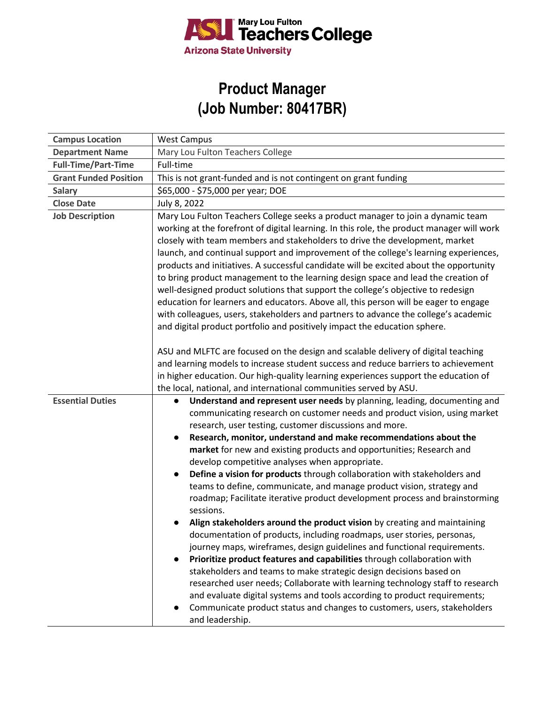

## **Product Manager (Job Number: 80417BR)**

| <b>Campus Location</b>       | <b>West Campus</b>                                                                                                                                                                                                                                                                                                                                                                                                                                                                                                                                                                                                                                                                                                                                                                                                                                                                                                                                                                                                                                                                                                                                                                                                                                                                                                                        |
|------------------------------|-------------------------------------------------------------------------------------------------------------------------------------------------------------------------------------------------------------------------------------------------------------------------------------------------------------------------------------------------------------------------------------------------------------------------------------------------------------------------------------------------------------------------------------------------------------------------------------------------------------------------------------------------------------------------------------------------------------------------------------------------------------------------------------------------------------------------------------------------------------------------------------------------------------------------------------------------------------------------------------------------------------------------------------------------------------------------------------------------------------------------------------------------------------------------------------------------------------------------------------------------------------------------------------------------------------------------------------------|
| <b>Department Name</b>       | Mary Lou Fulton Teachers College                                                                                                                                                                                                                                                                                                                                                                                                                                                                                                                                                                                                                                                                                                                                                                                                                                                                                                                                                                                                                                                                                                                                                                                                                                                                                                          |
| <b>Full-Time/Part-Time</b>   | Full-time                                                                                                                                                                                                                                                                                                                                                                                                                                                                                                                                                                                                                                                                                                                                                                                                                                                                                                                                                                                                                                                                                                                                                                                                                                                                                                                                 |
| <b>Grant Funded Position</b> | This is not grant-funded and is not contingent on grant funding                                                                                                                                                                                                                                                                                                                                                                                                                                                                                                                                                                                                                                                                                                                                                                                                                                                                                                                                                                                                                                                                                                                                                                                                                                                                           |
| <b>Salary</b>                | \$65,000 - \$75,000 per year; DOE                                                                                                                                                                                                                                                                                                                                                                                                                                                                                                                                                                                                                                                                                                                                                                                                                                                                                                                                                                                                                                                                                                                                                                                                                                                                                                         |
| <b>Close Date</b>            | July 8, 2022                                                                                                                                                                                                                                                                                                                                                                                                                                                                                                                                                                                                                                                                                                                                                                                                                                                                                                                                                                                                                                                                                                                                                                                                                                                                                                                              |
| <b>Job Description</b>       | Mary Lou Fulton Teachers College seeks a product manager to join a dynamic team<br>working at the forefront of digital learning. In this role, the product manager will work<br>closely with team members and stakeholders to drive the development, market<br>launch, and continual support and improvement of the college's learning experiences,<br>products and initiatives. A successful candidate will be excited about the opportunity<br>to bring product management to the learning design space and lead the creation of<br>well-designed product solutions that support the college's objective to redesign<br>education for learners and educators. Above all, this person will be eager to engage<br>with colleagues, users, stakeholders and partners to advance the college's academic<br>and digital product portfolio and positively impact the education sphere.                                                                                                                                                                                                                                                                                                                                                                                                                                                        |
|                              | ASU and MLFTC are focused on the design and scalable delivery of digital teaching<br>and learning models to increase student success and reduce barriers to achievement<br>in higher education. Our high-quality learning experiences support the education of<br>the local, national, and international communities served by ASU.                                                                                                                                                                                                                                                                                                                                                                                                                                                                                                                                                                                                                                                                                                                                                                                                                                                                                                                                                                                                       |
| <b>Essential Duties</b>      | Understand and represent user needs by planning, leading, documenting and<br>$\bullet$<br>communicating research on customer needs and product vision, using market<br>research, user testing, customer discussions and more.<br>Research, monitor, understand and make recommendations about the<br>$\bullet$<br>market for new and existing products and opportunities; Research and<br>develop competitive analyses when appropriate.<br>Define a vision for products through collaboration with stakeholders and<br>teams to define, communicate, and manage product vision, strategy and<br>roadmap; Facilitate iterative product development process and brainstorming<br>sessions.<br>Align stakeholders around the product vision by creating and maintaining<br>documentation of products, including roadmaps, user stories, personas,<br>journey maps, wireframes, design guidelines and functional requirements.<br>Prioritize product features and capabilities through collaboration with<br>stakeholders and teams to make strategic design decisions based on<br>researched user needs; Collaborate with learning technology staff to research<br>and evaluate digital systems and tools according to product requirements;<br>Communicate product status and changes to customers, users, stakeholders<br>and leadership. |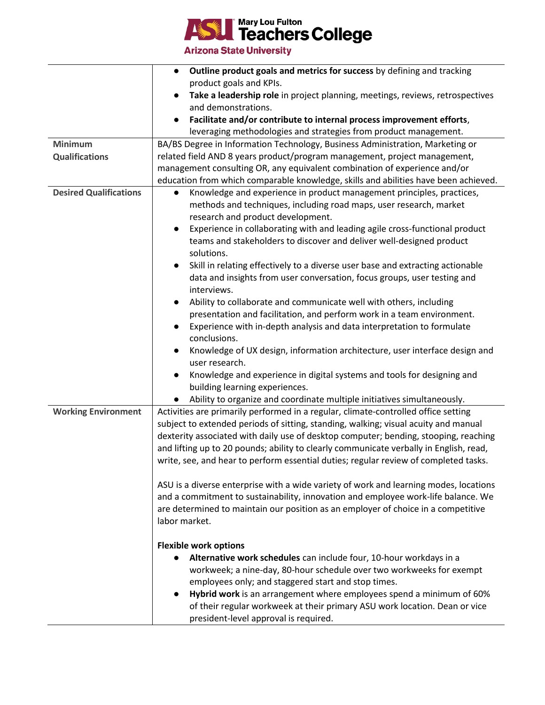

**Arizona State University** 

|                               | Outline product goals and metrics for success by defining and tracking                 |
|-------------------------------|----------------------------------------------------------------------------------------|
|                               | product goals and KPIs.                                                                |
|                               | Take a leadership role in project planning, meetings, reviews, retrospectives          |
|                               | and demonstrations.                                                                    |
|                               | Facilitate and/or contribute to internal process improvement efforts,                  |
|                               | leveraging methodologies and strategies from product management.                       |
| <b>Minimum</b>                | BA/BS Degree in Information Technology, Business Administration, Marketing or          |
| <b>Qualifications</b>         | related field AND 8 years product/program management, project management,              |
|                               | management consulting OR, any equivalent combination of experience and/or              |
|                               | education from which comparable knowledge, skills and abilities have been achieved.    |
| <b>Desired Qualifications</b> | Knowledge and experience in product management principles, practices,<br>$\bullet$     |
|                               | methods and techniques, including road maps, user research, market                     |
|                               | research and product development.                                                      |
|                               | Experience in collaborating with and leading agile cross-functional product            |
|                               | teams and stakeholders to discover and deliver well-designed product                   |
|                               | solutions.                                                                             |
|                               | Skill in relating effectively to a diverse user base and extracting actionable         |
|                               | data and insights from user conversation, focus groups, user testing and               |
|                               | interviews.                                                                            |
|                               | Ability to collaborate and communicate well with others, including                     |
|                               | presentation and facilitation, and perform work in a team environment.                 |
|                               | Experience with in-depth analysis and data interpretation to formulate                 |
|                               | conclusions.                                                                           |
|                               | Knowledge of UX design, information architecture, user interface design and            |
|                               | user research.                                                                         |
|                               | Knowledge and experience in digital systems and tools for designing and                |
|                               | building learning experiences.                                                         |
|                               | Ability to organize and coordinate multiple initiatives simultaneously.                |
| <b>Working Environment</b>    | Activities are primarily performed in a regular, climate-controlled office setting     |
|                               | subject to extended periods of sitting, standing, walking; visual acuity and manual    |
|                               | dexterity associated with daily use of desktop computer; bending, stooping, reaching   |
|                               | and lifting up to 20 pounds; ability to clearly communicate verbally in English, read, |
|                               | write, see, and hear to perform essential duties; regular review of completed tasks.   |
|                               |                                                                                        |
|                               | ASU is a diverse enterprise with a wide variety of work and learning modes, locations  |
|                               | and a commitment to sustainability, innovation and employee work-life balance. We      |
|                               | are determined to maintain our position as an employer of choice in a competitive      |
|                               | labor market.                                                                          |
|                               |                                                                                        |
|                               | <b>Flexible work options</b>                                                           |
|                               | Alternative work schedules can include four, 10-hour workdays in a                     |
|                               | workweek; a nine-day, 80-hour schedule over two workweeks for exempt                   |
|                               | employees only; and staggered start and stop times.                                    |
|                               | Hybrid work is an arrangement where employees spend a minimum of 60%                   |
|                               | of their regular workweek at their primary ASU work location. Dean or vice             |
|                               | president-level approval is required.                                                  |
|                               |                                                                                        |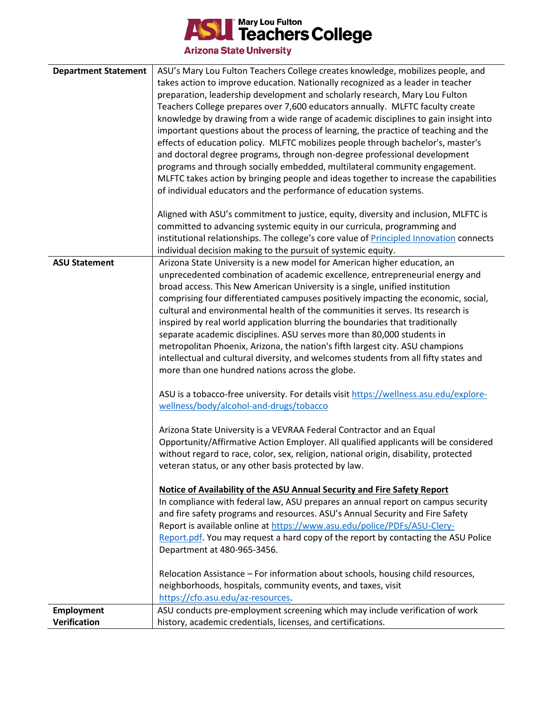

**Arizona State University** 

| <b>Department Statement</b> | ASU's Mary Lou Fulton Teachers College creates knowledge, mobilizes people, and<br>takes action to improve education. Nationally recognized as a leader in teacher<br>preparation, leadership development and scholarly research, Mary Lou Fulton<br>Teachers College prepares over 7,600 educators annually. MLFTC faculty create<br>knowledge by drawing from a wide range of academic disciplines to gain insight into<br>important questions about the process of learning, the practice of teaching and the<br>effects of education policy. MLFTC mobilizes people through bachelor's, master's<br>and doctoral degree programs, through non-degree professional development<br>programs and through socially embedded, multilateral community engagement.<br>MLFTC takes action by bringing people and ideas together to increase the capabilities                                                                                                                                                                                                                                                                                                                                                                                                     |
|-----------------------------|--------------------------------------------------------------------------------------------------------------------------------------------------------------------------------------------------------------------------------------------------------------------------------------------------------------------------------------------------------------------------------------------------------------------------------------------------------------------------------------------------------------------------------------------------------------------------------------------------------------------------------------------------------------------------------------------------------------------------------------------------------------------------------------------------------------------------------------------------------------------------------------------------------------------------------------------------------------------------------------------------------------------------------------------------------------------------------------------------------------------------------------------------------------------------------------------------------------------------------------------------------------|
|                             | of individual educators and the performance of education systems.                                                                                                                                                                                                                                                                                                                                                                                                                                                                                                                                                                                                                                                                                                                                                                                                                                                                                                                                                                                                                                                                                                                                                                                            |
|                             | Aligned with ASU's commitment to justice, equity, diversity and inclusion, MLFTC is<br>committed to advancing systemic equity in our curricula, programming and<br>institutional relationships. The college's core value of Principled Innovation connects<br>individual decision making to the pursuit of systemic equity.                                                                                                                                                                                                                                                                                                                                                                                                                                                                                                                                                                                                                                                                                                                                                                                                                                                                                                                                  |
| <b>ASU Statement</b>        | Arizona State University is a new model for American higher education, an<br>unprecedented combination of academic excellence, entrepreneurial energy and<br>broad access. This New American University is a single, unified institution<br>comprising four differentiated campuses positively impacting the economic, social,<br>cultural and environmental health of the communities it serves. Its research is<br>inspired by real world application blurring the boundaries that traditionally<br>separate academic disciplines. ASU serves more than 80,000 students in<br>metropolitan Phoenix, Arizona, the nation's fifth largest city. ASU champions<br>intellectual and cultural diversity, and welcomes students from all fifty states and<br>more than one hundred nations across the globe.<br>ASU is a tobacco-free university. For details visit https://wellness.asu.edu/explore-<br>wellness/body/alcohol-and-drugs/tobacco<br>Arizona State University is a VEVRAA Federal Contractor and an Equal<br>Opportunity/Affirmative Action Employer. All qualified applicants will be considered<br>without regard to race, color, sex, religion, national origin, disability, protected<br>veteran status, or any other basis protected by law. |
|                             | Notice of Availability of the ASU Annual Security and Fire Safety Report<br>In compliance with federal law, ASU prepares an annual report on campus security<br>and fire safety programs and resources. ASU's Annual Security and Fire Safety<br>Report is available online at https://www.asu.edu/police/PDFs/ASU-Clery-<br>Report.pdf. You may request a hard copy of the report by contacting the ASU Police<br>Department at 480-965-3456.<br>Relocation Assistance - For information about schools, housing child resources,                                                                                                                                                                                                                                                                                                                                                                                                                                                                                                                                                                                                                                                                                                                            |
|                             | neighborhoods, hospitals, community events, and taxes, visit<br>https://cfo.asu.edu/az-resources.                                                                                                                                                                                                                                                                                                                                                                                                                                                                                                                                                                                                                                                                                                                                                                                                                                                                                                                                                                                                                                                                                                                                                            |
| <b>Employment</b>           | ASU conducts pre-employment screening which may include verification of work                                                                                                                                                                                                                                                                                                                                                                                                                                                                                                                                                                                                                                                                                                                                                                                                                                                                                                                                                                                                                                                                                                                                                                                 |
| Verification                | history, academic credentials, licenses, and certifications.                                                                                                                                                                                                                                                                                                                                                                                                                                                                                                                                                                                                                                                                                                                                                                                                                                                                                                                                                                                                                                                                                                                                                                                                 |